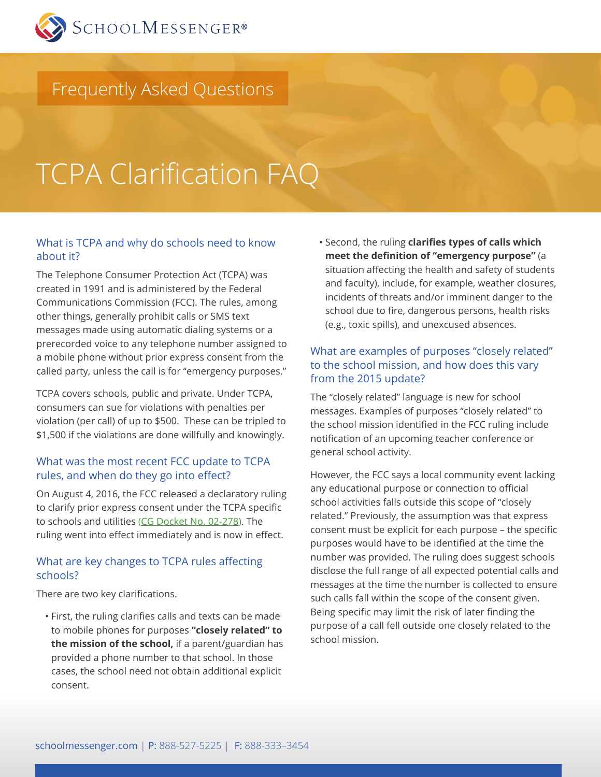

# Frequently Asked Questions

# TCPA Clarification FAQ

#### What is TCPA and why do schools need to know about it?

The Telephone Consumer Protection Act (TCPA) was created in 1991 and is administered by the Federal Communications Commission (FCC). The rules, among other things, generally prohibit calls or SMS text messages made using automatic dialing systems or a prerecorded voice to any telephone number assigned to a mobile phone without prior express consent from the called party, unless the call is for "emergency purposes."

TCPA covers schools, public and private. Under TCPA, consumers can sue for violations with penalties per violation (per call) of up to \$500. These can be tripled to \$1,500 if the violations are done willfully and knowingly.

#### What was the most recent FCC update to TCPA rules, and when do they go into effect?

On August 4, 2016, the FCC released a declaratory ruling to clarify prior express consent under the TCPA specific to schools and utilities ([CG Docket No. 02-278](https://apps.fcc.gov/edocs_public/attachmatch/FCC-16-88A1.pdf)). The ruling went into effect immediately and is now in effect.

#### What are key changes to TCPA rules affecting schools?

There are two key clarifications.

• First, the ruling clarifies calls and texts can be made to mobile phones for purposes **"closely related" to the mission of the school,** if a parent/guardian has provided a phone number to that school. In those cases, the school need not obtain additional explicit consent.

• Second, the ruling **clarifies types of calls which meet the definition of "emergency purpose"** (a situation affecting the health and safety of students and faculty), include, for example, weather closures, incidents of threats and/or imminent danger to the school due to fire, dangerous persons, health risks (e.g., toxic spills), and unexcused absences.

## What are examples of purposes "closely related" to the school mission, and how does this vary from the 2015 update?

The "closely related" language is new for school messages. Examples of purposes "closely related" to the school mission identified in the FCC ruling include notification of an upcoming teacher conference or general school activity.

However, the FCC says a local community event lacking any educational purpose or connection to official school activities falls outside this scope of "closely related." Previously, the assumption was that express consent must be explicit for each purpose – the specific purposes would have to be identified at the time the number was provided. The ruling does suggest schools disclose the full range of all expected potential calls and messages at the time the number is collected to ensure such calls fall within the scope of the consent given. Being specific may limit the risk of later finding the purpose of a call fell outside one closely related to the school mission.